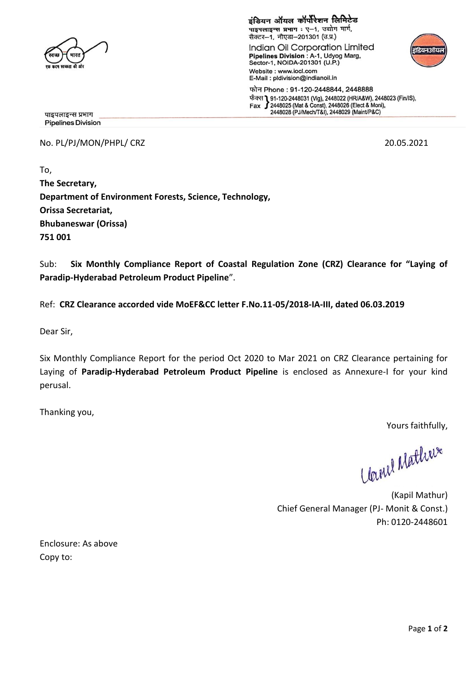

इंडियन ऑयल कॉर्पोरेशन लिमिटेड

No. PL/PJ/MON/PHPL/ CRZ 20.05.2021

To, **The Secretary, Department of Environment Forests, Science, Technology, Orissa Secretariat, Bhubaneswar (Orissa) 751 001**

Sub: **Six Monthly Compliance Report of Coastal Regulation Zone (CRZ) Clearance for "Laying of Paradip-Hyderabad Petroleum Product Pipeline**".

Ref: **CRZ Clearance accorded vide MoEF&CC letter F.No.11-05/2018-IA-III, dated 06.03.2019**

Dear Sir,

Six Monthly Compliance Report for the period Oct 2020 to Mar 2021 on CRZ Clearance pertaining for Laying of **Paradip-Hyderabad Petroleum Product Pipeline** is enclosed as Annexure-I for your kind perusal.

Thanking you,

Yours faithfully,

Uanel Mathier

(Kapil Mathur) Chief General Manager (PJ- Monit & Const.) Ph: 0120-2448601

Enclosure: As above Copy to: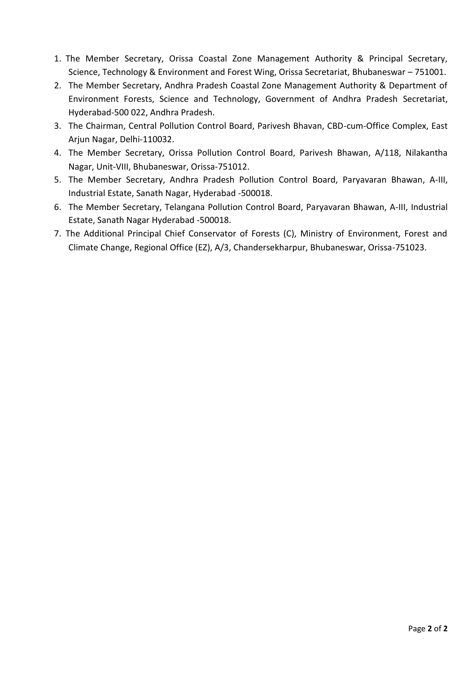- 1. The Member Secretary, Orissa Coastal Zone Management Authority & Principal Secretary, Science, Technology & Environment and Forest Wing, Orissa Secretariat, Bhubaneswar – 751001.
- 2. The Member Secretary, Andhra Pradesh Coastal Zone Management Authority & Department of Environment Forests, Science and Technology, Government of Andhra Pradesh Secretariat, Hyderabad-500 022, Andhra Pradesh.
- 3. The Chairman, Central Pollution Control Board, Parivesh Bhavan, CBD-cum-Office Complex, East Arjun Nagar, Delhi-110032.
- 4. The Member Secretary, Orissa Pollution Control Board, Parivesh Bhawan, A/118, Nilakantha Nagar, Unit-VIII, Bhubaneswar, Orissa-751012.
- 5. The Member Secretary, Andhra Pradesh Pollution Control Board, Paryavaran Bhawan, A-III, Industrial Estate, Sanath Nagar, Hyderabad -500018.
- 6. The Member Secretary, Telangana Pollution Control Board, Paryavaran Bhawan, A-III, Industrial Estate, Sanath Nagar Hyderabad -500018.
- 7. The Additional Principal Chief Conservator of Forests (C), Ministry of Environment, Forest and Climate Change, Regional Office (EZ), A/3, Chandersekharpur, Bhubaneswar, Orissa-751023.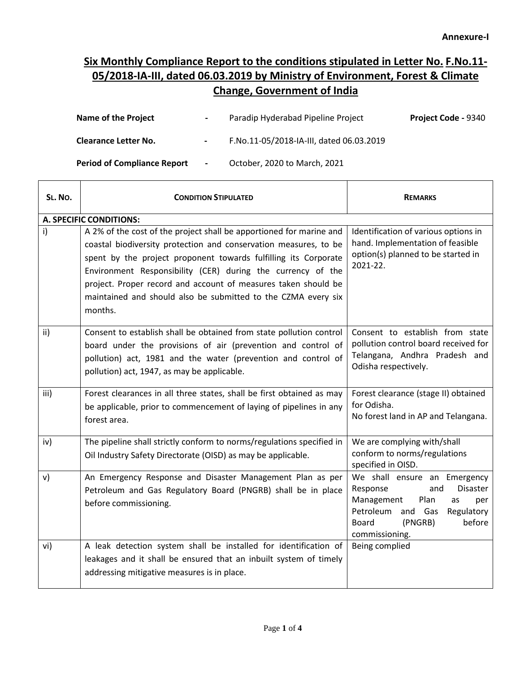## **Six Monthly Compliance Report to the conditions stipulated in Letter No. F.No.11- 05/2018-IA-III, dated 06.03.2019 by Ministry of Environment, Forest & Climate Change, Government of India**

| Name of the Project                | $\overline{\phantom{0}}$ | Paradip Hyderabad Pipeline Project       | <b>Project Code - 9340</b> |
|------------------------------------|--------------------------|------------------------------------------|----------------------------|
| <b>Clearance Letter No.</b>        | $\blacksquare$           | F.No.11-05/2018-IA-III, dated 06.03.2019 |                            |
| <b>Period of Compliance Report</b> | $\blacksquare$           | October, 2020 to March, 2021             |                            |

г

T

 $\top$ 

| SL. No.                        | <b>CONDITION STIPULATED</b>                                                                                                                                                                                                                                                                                                                                                                                             | <b>REMARKS</b>                                                                                                                                                                           |  |  |  |  |
|--------------------------------|-------------------------------------------------------------------------------------------------------------------------------------------------------------------------------------------------------------------------------------------------------------------------------------------------------------------------------------------------------------------------------------------------------------------------|------------------------------------------------------------------------------------------------------------------------------------------------------------------------------------------|--|--|--|--|
| <b>A. SPECIFIC CONDITIONS:</b> |                                                                                                                                                                                                                                                                                                                                                                                                                         |                                                                                                                                                                                          |  |  |  |  |
| i)                             | A 2% of the cost of the project shall be apportioned for marine and<br>coastal biodiversity protection and conservation measures, to be<br>spent by the project proponent towards fulfilling its Corporate<br>Environment Responsibility (CER) during the currency of the<br>project. Proper record and account of measures taken should be<br>maintained and should also be submitted to the CZMA every six<br>months. | Identification of various options in<br>hand. Implementation of feasible<br>option(s) planned to be started in<br>2021-22.                                                               |  |  |  |  |
| ii)                            | Consent to establish shall be obtained from state pollution control<br>board under the provisions of air (prevention and control of<br>pollution) act, 1981 and the water (prevention and control of<br>pollution) act, 1947, as may be applicable.                                                                                                                                                                     | Consent to establish from state<br>pollution control board received for<br>Telangana, Andhra Pradesh and<br>Odisha respectively.                                                         |  |  |  |  |
| iii)                           | Forest clearances in all three states, shall be first obtained as may<br>be applicable, prior to commencement of laying of pipelines in any<br>forest area.                                                                                                                                                                                                                                                             | Forest clearance (stage II) obtained<br>for Odisha.<br>No forest land in AP and Telangana.                                                                                               |  |  |  |  |
| iv)                            | The pipeline shall strictly conform to norms/regulations specified in<br>Oil Industry Safety Directorate (OISD) as may be applicable.                                                                                                                                                                                                                                                                                   | We are complying with/shall<br>conform to norms/regulations<br>specified in OISD.                                                                                                        |  |  |  |  |
| V)                             | An Emergency Response and Disaster Management Plan as per<br>Petroleum and Gas Regulatory Board (PNGRB) shall be in place<br>before commissioning.                                                                                                                                                                                                                                                                      | We shall ensure an Emergency<br>Disaster<br>Response<br>and<br>Plan<br>Management<br>as<br>per<br>Petroleum and Gas<br>Regulatory<br>(PNGRB)<br>before<br><b>Board</b><br>commissioning. |  |  |  |  |
| vi)                            | A leak detection system shall be installed for identification of<br>leakages and it shall be ensured that an inbuilt system of timely<br>addressing mitigative measures is in place.                                                                                                                                                                                                                                    | Being complied                                                                                                                                                                           |  |  |  |  |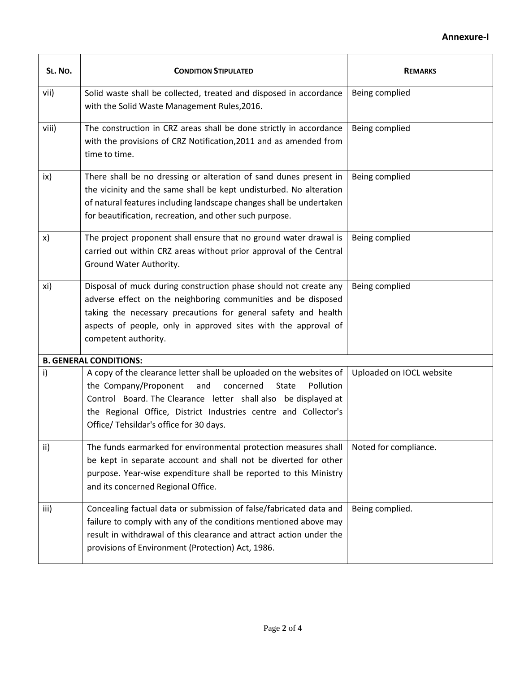## **Annexure-I**

| SL. No.                       | <b>CONDITION STIPULATED</b>                                                                                                                                                                                                                                                                                                  | <b>REMARKS</b>           |
|-------------------------------|------------------------------------------------------------------------------------------------------------------------------------------------------------------------------------------------------------------------------------------------------------------------------------------------------------------------------|--------------------------|
| vii)                          | Solid waste shall be collected, treated and disposed in accordance<br>with the Solid Waste Management Rules, 2016.                                                                                                                                                                                                           | Being complied           |
| viii)                         | The construction in CRZ areas shall be done strictly in accordance<br>with the provisions of CRZ Notification, 2011 and as amended from<br>time to time.                                                                                                                                                                     | Being complied           |
| ix)                           | There shall be no dressing or alteration of sand dunes present in<br>the vicinity and the same shall be kept undisturbed. No alteration<br>of natural features including landscape changes shall be undertaken<br>for beautification, recreation, and other such purpose.                                                    | Being complied           |
| x)                            | The project proponent shall ensure that no ground water drawal is<br>carried out within CRZ areas without prior approval of the Central<br>Ground Water Authority.                                                                                                                                                           | Being complied           |
| xi)                           | Disposal of muck during construction phase should not create any<br>adverse effect on the neighboring communities and be disposed<br>taking the necessary precautions for general safety and health<br>aspects of people, only in approved sites with the approval of<br>competent authority.                                | Being complied           |
| <b>B. GENERAL CONDITIONS:</b> |                                                                                                                                                                                                                                                                                                                              |                          |
| $\mathsf{i}$                  | A copy of the clearance letter shall be uploaded on the websites of<br>the Company/Proponent<br>Pollution<br>and<br>concerned<br><b>State</b><br>Control Board. The Clearance letter shall also be displayed at<br>the Regional Office, District Industries centre and Collector's<br>Office/Tehsildar's office for 30 days. | Uploaded on IOCL website |
| ii)                           | The funds earmarked for environmental protection measures shall<br>be kept in separate account and shall not be diverted for other<br>purpose. Year-wise expenditure shall be reported to this Ministry<br>and its concerned Regional Office.                                                                                | Noted for compliance.    |
| iii)                          | Concealing factual data or submission of false/fabricated data and<br>failure to comply with any of the conditions mentioned above may<br>result in withdrawal of this clearance and attract action under the<br>provisions of Environment (Protection) Act, 1986.                                                           | Being complied.          |

Ë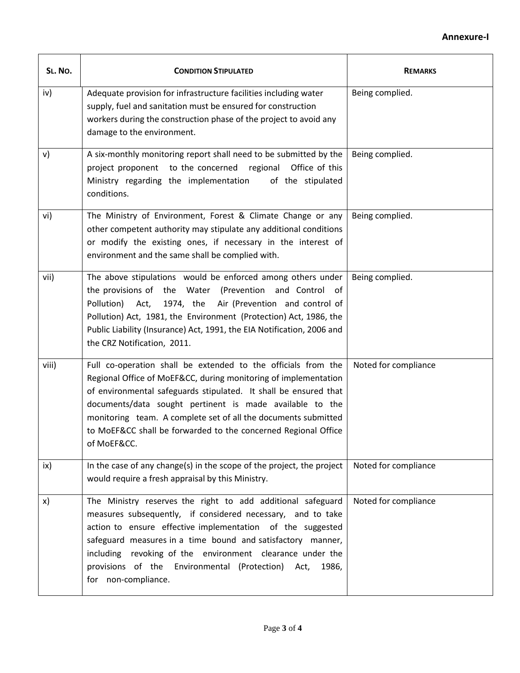## **Annexure-I**

| SL. No. | <b>CONDITION STIPULATED</b>                                                                                                                                                                                                                                                                                                                                                                                         | <b>REMARKS</b>       |
|---------|---------------------------------------------------------------------------------------------------------------------------------------------------------------------------------------------------------------------------------------------------------------------------------------------------------------------------------------------------------------------------------------------------------------------|----------------------|
| iv)     | Adequate provision for infrastructure facilities including water<br>supply, fuel and sanitation must be ensured for construction<br>workers during the construction phase of the project to avoid any<br>damage to the environment.                                                                                                                                                                                 | Being complied.      |
| v)      | A six-monthly monitoring report shall need to be submitted by the<br>project proponent to the concerned regional Office of this<br>Ministry regarding the implementation<br>of the stipulated<br>conditions.                                                                                                                                                                                                        | Being complied.      |
| vi)     | The Ministry of Environment, Forest & Climate Change or any<br>other competent authority may stipulate any additional conditions<br>or modify the existing ones, if necessary in the interest of<br>environment and the same shall be complied with.                                                                                                                                                                | Being complied.      |
| vii)    | The above stipulations would be enforced among others under<br>the provisions of the Water (Prevention and Control of<br>Act,<br>1974, the Air (Prevention and control of<br>Pollution)<br>Pollution) Act, 1981, the Environment (Protection) Act, 1986, the<br>Public Liability (Insurance) Act, 1991, the EIA Notification, 2006 and<br>the CRZ Notification, 2011.                                               | Being complied.      |
| viii)   | Full co-operation shall be extended to the officials from the<br>Regional Office of MoEF&CC, during monitoring of implementation<br>of environmental safeguards stipulated. It shall be ensured that<br>documents/data sought pertinent is made available to the<br>monitoring team. A complete set of all the documents submitted<br>to MoEF&CC shall be forwarded to the concerned Regional Office<br>of MoEF&CC. | Noted for compliance |
| ix)     | In the case of any change(s) in the scope of the project, the project<br>would require a fresh appraisal by this Ministry.                                                                                                                                                                                                                                                                                          | Noted for compliance |
| x)      | The Ministry reserves the right to add additional safeguard<br>measures subsequently, if considered necessary, and to take<br>action to ensure effective implementation of the suggested<br>safeguard measures in a time bound and satisfactory manner,<br>including revoking of the environment clearance under the<br>provisions of the Environmental (Protection) Act,<br>1986,<br>for non-compliance.           | Noted for compliance |

Ē